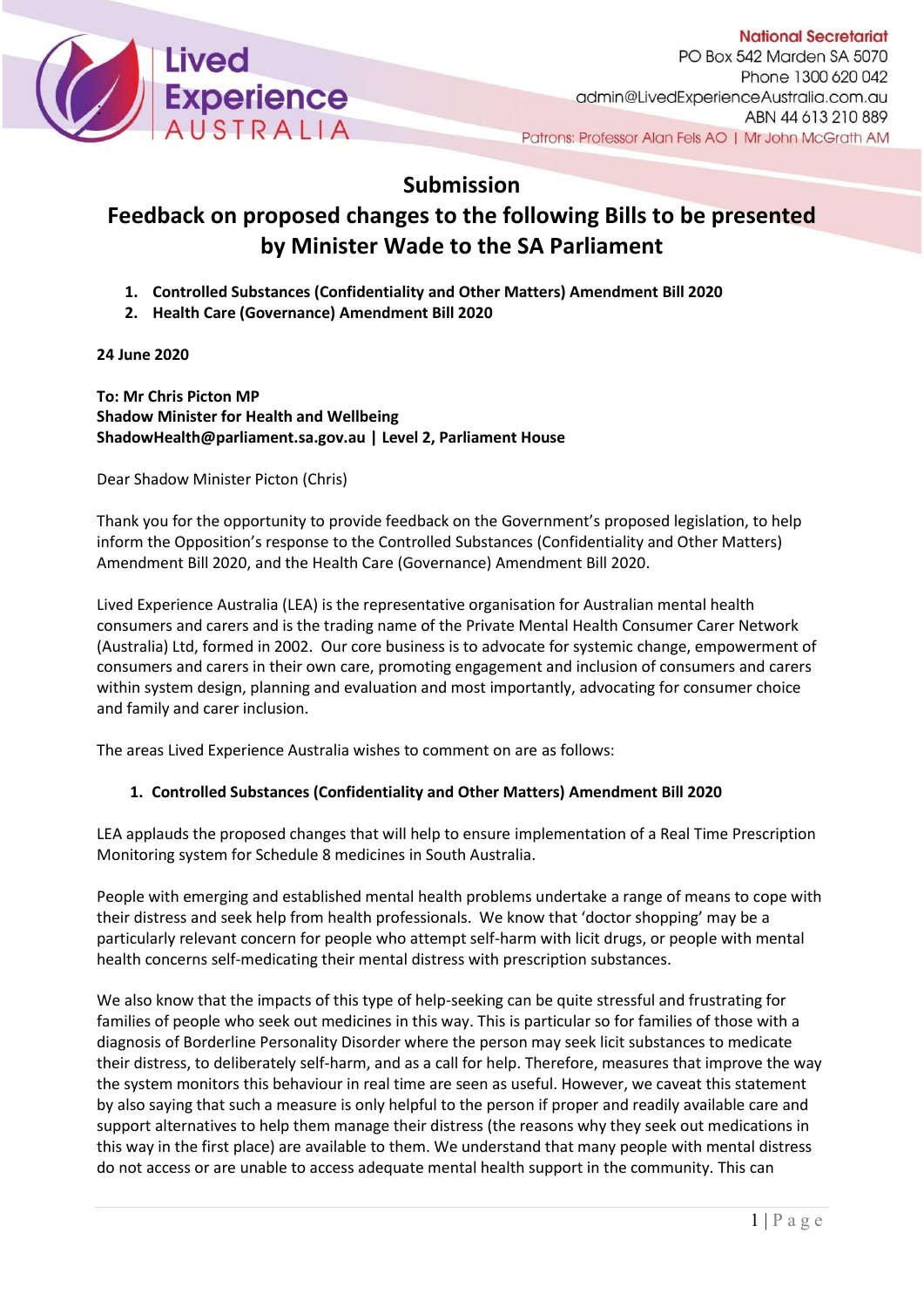

## **Submission**

## **Feedback on proposed changes to the following Bills to be presented by Minister Wade to the SA Parliament**

- **1. Controlled Substances (Confidentiality and Other Matters) Amendment Bill 2020**
- **2. Health Care (Governance) Amendment Bill 2020**

**24 June 2020**

**To: Mr Chris Picton MP Shadow Minister for Health and Wellbeing [ShadowHealth@parliament.sa.gov.au](mailto:ShadowHealth@parliament.sa.gov.au) | Level 2, Parliament House**

Dear Shadow Minister Picton (Chris)

Thank you for the opportunity to provide feedback on the Government's proposed legislation, to help inform the Opposition's response to the Controlled Substances (Confidentiality and Other Matters) Amendment Bill 2020, and the Health Care (Governance) Amendment Bill 2020.

Lived Experience Australia (LEA) is the representative organisation for Australian mental health consumers and carers and is the trading name of the Private Mental Health Consumer Carer Network (Australia) Ltd, formed in 2002. Our core business is to advocate for systemic change, empowerment of consumers and carers in their own care, promoting engagement and inclusion of consumers and carers within system design, planning and evaluation and most importantly, advocating for consumer choice and family and carer inclusion.

The areas Lived Experience Australia wishes to comment on are as follows:

## **1. Controlled Substances (Confidentiality and Other Matters) Amendment Bill 2020**

LEA applauds the proposed changes that will help to ensure implementation of a Real Time Prescription Monitoring system for Schedule 8 medicines in South Australia.

People with emerging and established mental health problems undertake a range of means to cope with their distress and seek help from health professionals. We know that 'doctor shopping' may be a particularly relevant concern for people who attempt self-harm with licit drugs, or people with mental health concerns self-medicating their mental distress with prescription substances.

We also know that the impacts of this type of help-seeking can be quite stressful and frustrating for families of people who seek out medicines in this way. This is particular so for families of those with a diagnosis of Borderline Personality Disorder where the person may seek licit substances to medicate their distress, to deliberately self-harm, and as a call for help. Therefore, measures that improve the way the system monitors this behaviour in real time are seen as useful. However, we caveat this statement by also saying that such a measure is only helpful to the person if proper and readily available care and support alternatives to help them manage their distress (the reasons why they seek out medications in this way in the first place) are available to them. We understand that many people with mental distress do not access or are unable to access adequate mental health support in the community. This can